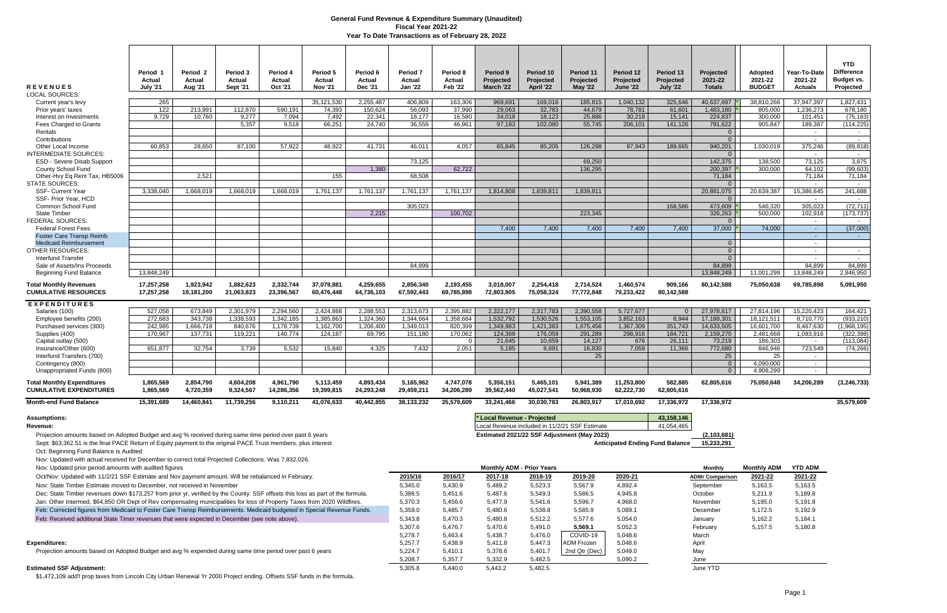| <b>REVENUES</b><br><b>LOCAL SOURCES:</b>                                                                                                                                                                                                                   | Period 1<br>Actual<br><b>July '21</b> | Period <sub>2</sub><br>Actual<br><b>Aug '21</b> | Period 3<br>Actual<br><b>Sept '21</b> | Period 4<br><b>Actual</b><br>Oct '21 | Period 5<br>Actual<br><b>Nov '21</b> | Period 6<br><b>Actual</b><br><b>Dec '21</b> | Period <sub>7</sub><br>Actual<br><b>Jan '22</b> | Period 8<br>Actual<br><b>Feb '22</b> | Period 9<br>Projected<br>March '22 | Period 10<br>Projected<br>April '22 | Period 11<br>Projected<br><b>May '22</b>       | Period 12<br>Projected<br><b>June '22</b> | Period 13<br>Projected<br>July '22 | Projected<br>2021-22<br><b>Totals</b> | <b>Adopted</b><br>2021-22<br><b>BUDGET</b> | Year-To-Date<br>2021-22<br><b>Actuals</b> | <b>YTD</b><br><b>Difference</b><br><b>Budget vs.</b><br>Projected |
|------------------------------------------------------------------------------------------------------------------------------------------------------------------------------------------------------------------------------------------------------------|---------------------------------------|-------------------------------------------------|---------------------------------------|--------------------------------------|--------------------------------------|---------------------------------------------|-------------------------------------------------|--------------------------------------|------------------------------------|-------------------------------------|------------------------------------------------|-------------------------------------------|------------------------------------|---------------------------------------|--------------------------------------------|-------------------------------------------|-------------------------------------------------------------------|
| Current year's levy                                                                                                                                                                                                                                        | 265                                   |                                                 |                                       |                                      | 35,121,530                           | 2,255,487                                   | 406,809                                         | 163,306                              | 969,691                            | 169,016                             | 185,815                                        | 1,040,132                                 | 325,646                            | 40,637,697                            | 38,810,266                                 | 37,947,397                                | 1,827,431                                                         |
| Prior years' taxes                                                                                                                                                                                                                                         | 122                                   | 213,991                                         | 112,870                               | 590,191                              | 74,393                               | 150,624                                     | 56,093                                          | 37,990                               | 29,063                             | 32,783                              | 44,679                                         | 78,781                                    | 61,601                             | 1,483,180                             | 805,000                                    | 1,236,273                                 | 678,180                                                           |
| Interest on Investments                                                                                                                                                                                                                                    | 9,729                                 | 10,760                                          | 9,277                                 | 7,094                                | 7,492                                | 22,341                                      | 18,177                                          | 16,580                               | 34,018                             | 18,123                              | 25,886                                         | 30,218                                    | 15,141                             | 224,837                               | 300,000                                    | 101,451                                   | (75, 163)                                                         |
| Fees Charged to Grants                                                                                                                                                                                                                                     |                                       |                                                 | 5,357                                 | 9,518                                | 66,251                               | 24.740                                      | 36,559                                          | 46,961                               | 97,183                             | 102,080                             | 55,745                                         | 206,101                                   | 141,126                            | 791,622                               | 905.847                                    | 189,387                                   | (114, 225)                                                        |
| Rentals                                                                                                                                                                                                                                                    |                                       |                                                 |                                       |                                      |                                      |                                             |                                                 |                                      |                                    |                                     |                                                |                                           |                                    | $\overline{0}$<br>$\overline{0}$      |                                            | $\sim$                                    | $\sim$                                                            |
| Contributions<br>Other Local Income                                                                                                                                                                                                                        | 60.853                                | 28,650                                          | 87,100                                | 57,922                               | 48,922                               | 41,731                                      | 46,011                                          | 4,057                                | 65,845                             | 85,205                              | 126,298                                        | 97,943                                    | 189,665                            | 940,201                               | 1,030,019                                  | $\overline{a}$<br>375,246                 | $\sim$<br>(89, 818)                                               |
| <b>INTERMEDIATE SOURCES:</b>                                                                                                                                                                                                                               |                                       |                                                 |                                       |                                      |                                      |                                             |                                                 |                                      |                                    |                                     |                                                |                                           |                                    | $\overline{0}$                        |                                            | $\sim$                                    | $\sim$ $-$                                                        |
| <b>ESD - Severe Disab Support</b>                                                                                                                                                                                                                          |                                       |                                                 |                                       |                                      |                                      |                                             | 73,125                                          |                                      |                                    |                                     | 69,250                                         |                                           |                                    | 142,375                               | 138.500                                    | 73,125                                    | 3,875                                                             |
| County School Fund                                                                                                                                                                                                                                         |                                       |                                                 |                                       |                                      |                                      | 1.380                                       |                                                 | 62,722                               |                                    |                                     | 136.295                                        |                                           |                                    | 200,397                               | 300.000                                    | 64.102                                    | (99, 603)                                                         |
| Other-Hvy Eq Rent Tax, HB5006                                                                                                                                                                                                                              |                                       | 2,521                                           |                                       |                                      | 155                                  |                                             | 68,508                                          |                                      |                                    |                                     |                                                |                                           |                                    | 71,184                                |                                            | 71,184                                    | 71,184                                                            |
| <b>STATE SOURCES:</b><br><b>SSF- Current Year</b>                                                                                                                                                                                                          | 3,338,040                             | 1,668,019                                       | 1,668,019                             | 1,668,019                            | 1,761,137                            | 1,761,137                                   | 1,761,137                                       | 1,761,137                            | 1,814,808                          | 1,839,811                           | 1,839,811                                      |                                           |                                    | $\overline{0}$<br>20,881,075          | 20,639,387                                 | $\sim$<br>15,386,645                      | $\sim$<br>241,688                                                 |
| SSF- Prior Year, HCD                                                                                                                                                                                                                                       |                                       |                                                 |                                       |                                      |                                      |                                             |                                                 |                                      |                                    |                                     |                                                |                                           |                                    | $\overline{0}$                        |                                            | $\sim$                                    | $\sim$                                                            |
| Common School Fund                                                                                                                                                                                                                                         |                                       |                                                 |                                       |                                      |                                      |                                             | 305,023                                         |                                      |                                    |                                     |                                                |                                           | 168,586                            | 473,609                               | 546,320                                    | 305,023                                   | (72, 711)                                                         |
| <b>State Timber</b>                                                                                                                                                                                                                                        |                                       |                                                 |                                       |                                      |                                      | 2,215                                       |                                                 | 100,702                              |                                    |                                     | 223,345                                        |                                           |                                    | 326,263                               | 500,000                                    | 102,918                                   | (173, 737)                                                        |
| <b>FEDERAL SOURCES:</b>                                                                                                                                                                                                                                    |                                       |                                                 |                                       |                                      |                                      |                                             |                                                 |                                      |                                    |                                     |                                                |                                           |                                    | $\overline{0}$                        |                                            | $\sim$                                    | $\sim$ $-$                                                        |
| <b>Federal Forest Fees</b><br><b>Foster Care Transp Reimb</b>                                                                                                                                                                                              |                                       |                                                 |                                       |                                      |                                      |                                             |                                                 |                                      | 7,400                              | 7,400                               | 7,400                                          | 7,400                                     | 7,400                              | 37,000                                | 74,000                                     | $\sim$<br>$\sim$                          | (37,000)<br>$\sim 100$                                            |
| <b>Medicaid Reimbursement</b>                                                                                                                                                                                                                              |                                       |                                                 |                                       |                                      |                                      |                                             |                                                 |                                      |                                    |                                     |                                                |                                           |                                    | $\overline{0}$                        |                                            | $\sim$                                    |                                                                   |
| <b>OTHER RESOURCES:</b>                                                                                                                                                                                                                                    |                                       |                                                 |                                       |                                      |                                      |                                             |                                                 |                                      |                                    |                                     |                                                |                                           |                                    | $\overline{0}$                        |                                            | $\sim$                                    | $\sim$                                                            |
| Interfund Transfer                                                                                                                                                                                                                                         |                                       |                                                 |                                       |                                      |                                      |                                             |                                                 |                                      |                                    |                                     |                                                |                                           |                                    | $\overline{0}$                        |                                            | $\sim$                                    | $\sim$                                                            |
| Sale of Assets/Ins Proceeds                                                                                                                                                                                                                                |                                       |                                                 |                                       |                                      |                                      |                                             | 84,899                                          |                                      |                                    |                                     |                                                |                                           |                                    | 84,899                                |                                            | 84,899                                    | 84,899                                                            |
| <b>Beginning Fund Balance</b>                                                                                                                                                                                                                              | 13,848,249                            |                                                 |                                       |                                      |                                      |                                             |                                                 |                                      |                                    |                                     |                                                |                                           |                                    | 13,848,249                            | 11,001,299                                 | 13,848,249                                | 2,846,950                                                         |
| <b>Total Monthly Revenues</b><br><b>CUMULATIVE RESOURCES</b>                                                                                                                                                                                               | 17,257,258<br>17,257,258              | 1,923,942<br>19,181,200                         | 1,882,623<br>21,063,823               | 2,332,744<br>23,396,567              | 37,079,881<br>60,476,448             | 4,259,655<br>64,736,103                     | 2,856,340<br>67,592,443                         | 2,193,455<br>69,785,898              | 3,018,007<br>72,803,905            | 2,254,418<br>75,058,324             | 2,714,524<br>77,772,848                        | 1,460,574<br>79,233,422                   | 909,166<br>80,142,588              | 80,142,588                            | 75,050,638                                 | 69,785,898                                | 5,091,950                                                         |
| <b>EXPENDITURES</b>                                                                                                                                                                                                                                        |                                       |                                                 |                                       |                                      |                                      |                                             |                                                 |                                      |                                    |                                     |                                                |                                           |                                    |                                       |                                            |                                           |                                                                   |
| Salaries (100)                                                                                                                                                                                                                                             | 527,058                               | 673,849                                         | 2,301,979                             | 2,294,560                            | 2,424,868                            | 2,288,553                                   | 2,313,673                                       | 2,395,882                            | 2,322,177                          | 2,317,783                           | 2,390,558                                      | 5,727,677                                 | $\Omega$                           | 27,978,617                            | 27,814,196                                 | 15,220,423                                | 164,421                                                           |
| Employee benefits (200)                                                                                                                                                                                                                                    | 272,683                               | 343,738                                         | 1,338,593                             | 1,342,185                            | 1,385,863                            | 1,324,360                                   | 1,344,664                                       | 1,358,684                            | 1,532,792                          | 1,530,526                           | 1,553,105                                      | 3,852,163                                 | 8,944                              | 17,188,301                            | 18,121,511                                 | 8,710,770                                 | (933, 210)                                                        |
| Purchased services (300)<br>Supplies (400)                                                                                                                                                                                                                 | 242,985<br>170,967                    | 1,666,718<br>137,731                            | 840,676<br>119,221                    | 1,178,739<br>140,774                 | 1,162,700<br>124,187                 | 1,206,400<br>69,795                         | 1,349,013<br>151,180                            | 820,399<br>170,062                   | 1,349,983<br>124,369               | 1,421,383<br>176,059                | 1,675,456<br>291,289                           | 1,367,309<br>298,916                      | 351,743<br>184,721                 | 14,633,505<br>2,159,270               | 16,601,700<br>2,481,668                    | 8,467,630<br>1,083,916                    | (1,968,195)<br>(322, 398)                                         |
| Capital outlay (500)                                                                                                                                                                                                                                       |                                       |                                                 |                                       |                                      |                                      |                                             |                                                 |                                      | 21,645                             | 10,659                              | 14,127                                         | 676                                       | 26,111                             | 73,219                                | 186,303                                    | $\sim$                                    | (113,084)                                                         |
| Insurance/Other (600)                                                                                                                                                                                                                                      | 651,877                               | 32,754                                          | 3,739                                 | 5,532                                | 15,840                               | 4,325                                       | 7,432                                           | 2,051                                | 5,185                              | 8,691                               | 16,830                                         | 7,059                                     | 11,366                             | 772,680                               | 846,946                                    | 723,549                                   | (74, 266)                                                         |
| Interfund Transfers (700)                                                                                                                                                                                                                                  |                                       |                                                 |                                       |                                      |                                      |                                             |                                                 |                                      |                                    |                                     | 25                                             |                                           |                                    | 25                                    | 25                                         | $\sim$                                    |                                                                   |
| Contingency (800)                                                                                                                                                                                                                                          |                                       |                                                 |                                       |                                      |                                      |                                             |                                                 |                                      |                                    |                                     |                                                |                                           |                                    | $\overline{0}$                        | 4,090,000                                  | $\sim$                                    |                                                                   |
| Unappropriated Funds (800)                                                                                                                                                                                                                                 |                                       |                                                 |                                       |                                      |                                      |                                             |                                                 |                                      |                                    |                                     |                                                |                                           |                                    | $\overline{0}$                        | 4,908,299                                  | $\sim$                                    |                                                                   |
| <b>Total Monthly Expenditures</b><br><b>CUMULATIVE EXPENDITURES</b>                                                                                                                                                                                        | 1,865,569<br>1,865,569                | 2,854,790<br>4,720,359                          | 4,604,208<br>9,324,567                | 4,961,790<br>14.286.356              | 5,113,459<br>19,399,815              | 4,893,434<br>24,293,248                     | 5,165,962<br>29,459,211                         | 4,747,078<br>34,206,289              | 5,356,151<br>39,562,440            | 5,465,101<br>45,027,541             | 5,941,389<br>50,968,930                        | 11,253,800<br>62,222,730                  | 582,885<br>62,805,616              | 62,805,616                            | 75,050,648                                 | 34,206,289                                | (3, 246, 733)                                                     |
| <b>Month-end Fund Balance</b>                                                                                                                                                                                                                              | 15,391,689                            | 14,460,841                                      | 11,739,256                            | 9,110,211                            | 41,076,633                           | 40,442,855                                  | 38,133,232                                      | 35,579,609                           | 33,241,466                         | 30,030,783                          | 26,803,917                                     | 17,010,692                                | 17,336,972                         | 17,336,972                            |                                            |                                           | 35,579,609                                                        |
| <b>Assumptions:</b>                                                                                                                                                                                                                                        |                                       |                                                 |                                       |                                      |                                      |                                             |                                                 |                                      | * Local Revenue - Projected        |                                     |                                                |                                           | 43, 158, 146                       |                                       |                                            |                                           |                                                                   |
| Revenue:                                                                                                                                                                                                                                                   |                                       |                                                 |                                       |                                      |                                      |                                             |                                                 |                                      |                                    |                                     | Local Revenue included in 11/2/21 SSF Estimate |                                           | 41,054,465                         |                                       |                                            |                                           |                                                                   |
| Projection amounts based on Adopted Budget and avg % received during same time period over past 6 years                                                                                                                                                    |                                       |                                                 |                                       |                                      |                                      |                                             |                                                 |                                      |                                    |                                     | Estimated 2021/22 SSF Adjustment (May 2023)    |                                           |                                    | (2,103,681)                           |                                            |                                           |                                                                   |
| Sept: \$63,362.51 is the final PACE Return of Equity payment to the original PACE Trust members, plus interest<br>Oct: Beginning Fund Balance is Audited                                                                                                   |                                       |                                                 |                                       |                                      |                                      |                                             |                                                 |                                      |                                    |                                     |                                                | <b>Anticipated Ending Fund Balance</b>    |                                    | 15,233,291                            |                                            |                                           |                                                                   |
| Nov: Updated with actual received for December to correct total Projected Collections. Was 7,832,026.                                                                                                                                                      |                                       |                                                 |                                       |                                      |                                      |                                             |                                                 |                                      |                                    |                                     |                                                |                                           |                                    |                                       |                                            |                                           |                                                                   |
| Nov: Updated prior period amounts with audited figures                                                                                                                                                                                                     |                                       |                                                 |                                       |                                      |                                      |                                             |                                                 |                                      | <b>Monthly ADM - Prior Years</b>   |                                     |                                                |                                           |                                    | <b>Monthly</b>                        | <b>Monthly ADM</b>                         | <b>YTD ADM</b>                            |                                                                   |
| Oct/Nov: Updated with 11/2/21 SSF Estimate and Nov payment amount. Will be rebalanced in February.                                                                                                                                                         |                                       |                                                 |                                       |                                      |                                      |                                             | 2015/16                                         | 2016/17                              | 2017-18                            | 2018-19                             | 2019-20                                        | 2020-21                                   |                                    | <b>ADMr Comparison</b>                | 2021-22                                    | 2021-22                                   |                                                                   |
| Nov: State Timber Estimate moved to December, not received in November                                                                                                                                                                                     |                                       |                                                 |                                       |                                      |                                      |                                             | 5,345.0                                         | 5,430.9                              | 5,489.2                            | 5,523.3                             | 5,567.9                                        | 4,892.4                                   |                                    | September                             | 5,163.5                                    | 5,163.5                                   |                                                                   |
| Dec: State Timber revenues down \$173,257 from prior yr, verified by the County. SSF offsets this loss as part of the formula.<br>Jan: Other Intermed, \$64,850 OR Dept of Rev compensating municipalities for loss of Property Taxes from 2020 Wildfires. |                                       |                                                 |                                       |                                      |                                      | 5,386.5                                     | 5,451.6                                         | 5,487.6                              | 5,549.3                            | 5,586.5                             | 4,945.8                                        |                                           | October                            | 5,211.9                               | 5,189.8                                    |                                           |                                                                   |
|                                                                                                                                                                                                                                                            |                                       |                                                 |                                       |                                      |                                      |                                             | 5,370.3                                         | 5,456.6                              | 5,477.9                            | 5,541.6                             | 5,596.7                                        | 4,968.0                                   |                                    | November                              | 5,195.0                                    | 5,191.8                                   |                                                                   |
| Feb: Corrected figures from Medicaid to Foster Care Transp Reimbursements. Medicaid budgeted in Special Revenue Funds.                                                                                                                                     |                                       |                                                 |                                       |                                      |                                      |                                             | 5,359.0                                         | 5,485.7                              | 5,480.6                            | 5,538.8                             | 5,585.9                                        | 5,089.1                                   |                                    | December                              | 5,172.5                                    | 5,192.9                                   |                                                                   |
| Feb: Received additional State Timer revenues that were expected in December (see note above).                                                                                                                                                             |                                       |                                                 |                                       |                                      |                                      |                                             | 5,343.8                                         | 5,470.3                              | 5,480.8                            | 5,512.2                             | 5,577.6                                        | 5,054.0                                   |                                    | January                               | 5,162.2                                    | 5,184.1                                   |                                                                   |
|                                                                                                                                                                                                                                                            |                                       |                                                 |                                       |                                      |                                      |                                             | 5,307.6                                         | 5,476.7                              | 5,470.6                            | 5,491.0                             | 5,569.1                                        | 5,052.3                                   |                                    | February                              | 5,157.5                                    | 5,180.8                                   |                                                                   |
| <b>Expenditures:</b>                                                                                                                                                                                                                                       |                                       |                                                 |                                       |                                      |                                      |                                             | 5,278.7<br>5,257.7                              | 5,463.4<br>5,438.9                   | 5,438.7<br>5,411.8                 | 5,476.0<br>5,447.3                  | COVID-19<br>ADM Frozen                         | 5,048.6<br>5,048.6                        |                                    | March<br>April                        |                                            |                                           |                                                                   |
| Projection amounts based on Adopted Budget and avg % expended during same time period over past 6 years                                                                                                                                                    |                                       |                                                 |                                       |                                      |                                      |                                             | 5,224.7                                         | 5,410.1                              | 5,378.6                            | 5,401.7                             | 2nd Qtr (Dec)                                  | 5,049.0                                   |                                    | May                                   |                                            |                                           |                                                                   |
|                                                                                                                                                                                                                                                            |                                       |                                                 |                                       |                                      |                                      |                                             | 5,208.7                                         | 5,357.7                              | 5,332.9                            | 5,482.5                             |                                                | 5,090.2                                   |                                    | June                                  |                                            |                                           |                                                                   |
| <b>Estimated SSF Adjustment:</b>                                                                                                                                                                                                                           |                                       |                                                 |                                       |                                      |                                      |                                             | 5,305.8                                         | 5,440.0                              | 5,443.2                            | 5,482.5                             |                                                |                                           |                                    | June YTD                              |                                            |                                           |                                                                   |

\$1,472,109 add'l prop taxes from Lincoln City Urban Renewal Yr 2000 Project ending. Offsets SSF funds in the formula.

## **General Fund Revenue & Expenditure Summary (Unaudited) Fiscal Year 2021-22 Year To Date Transactions as of February 28, 2022**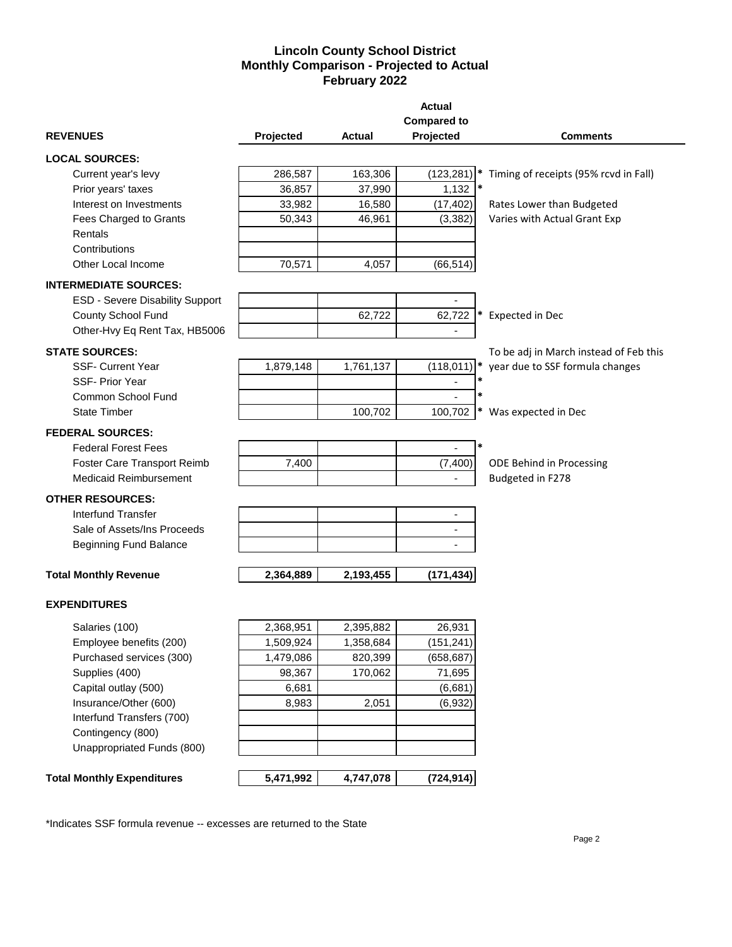## **Lincoln County School District Monthly Comparison - Projected to Actual February 2022**

|                                   |           |           | <b>Actual</b>            |                                        |
|-----------------------------------|-----------|-----------|--------------------------|----------------------------------------|
|                                   |           |           | <b>Compared to</b>       |                                        |
| <b>REVENUES</b>                   | Projected | Actual    | Projected                | <b>Comments</b>                        |
| <b>LOCAL SOURCES:</b>             |           |           |                          |                                        |
| Current year's levy               | 286,587   | 163,306   | (123, 281)               | Timing of receipts (95% rcvd in Fall)  |
| Prior years' taxes                | 36,857    | 37,990    | 1,132                    |                                        |
| Interest on Investments           | 33,982    | 16,580    | (17, 402)                | Rates Lower than Budgeted              |
| Fees Charged to Grants            | 50,343    | 46,961    | (3, 382)                 | Varies with Actual Grant Exp           |
| Rentals                           |           |           |                          |                                        |
| Contributions                     |           |           |                          |                                        |
| Other Local Income                | 70,571    | 4,057     | (66, 514)                |                                        |
| <b>INTERMEDIATE SOURCES:</b>      |           |           |                          |                                        |
| ESD - Severe Disability Support   |           |           |                          |                                        |
| County School Fund                |           | 62,722    | 62,722                   | Expected in Dec                        |
| Other-Hvy Eq Rent Tax, HB5006     |           |           |                          |                                        |
|                                   |           |           |                          |                                        |
| <b>STATE SOURCES:</b>             |           |           |                          | To be adj in March instead of Feb this |
| <b>SSF- Current Year</b>          | 1,879,148 | 1,761,137 | $(118,011)$ *<br>$\ast$  | year due to SSF formula changes        |
| <b>SSF-Prior Year</b>             |           |           |                          |                                        |
| Common School Fund                |           |           |                          |                                        |
| <b>State Timber</b>               |           | 100,702   | 100,702                  | Was expected in Dec                    |
| <b>FEDERAL SOURCES:</b>           |           |           |                          |                                        |
| <b>Federal Forest Fees</b>        |           |           | $\ast$                   |                                        |
| Foster Care Transport Reimb       | 7,400     |           | (7, 400)                 | ODE Behind in Processing               |
| <b>Medicaid Reimbursement</b>     |           |           |                          | Budgeted in F278                       |
| <b>OTHER RESOURCES:</b>           |           |           |                          |                                        |
| <b>Interfund Transfer</b>         |           |           | $\overline{\phantom{a}}$ |                                        |
| Sale of Assets/Ins Proceeds       |           |           |                          |                                        |
| <b>Beginning Fund Balance</b>     |           |           |                          |                                        |
|                                   |           |           |                          |                                        |
| <b>Total Monthly Revenue</b>      | 2,364,889 | 2,193,455 | (171, 434)               |                                        |
| <b>EXPENDITURES</b>               |           |           |                          |                                        |
| Salaries (100)                    | 2,368,951 | 2,395,882 | 26,931                   |                                        |
| Employee benefits (200)           | 1,509,924 | 1,358,684 | (151, 241)               |                                        |
| Purchased services (300)          | 1,479,086 | 820,399   | (658, 687)               |                                        |
| Supplies (400)                    | 98,367    | 170,062   | 71,695                   |                                        |
| Capital outlay (500)              | 6,681     |           | (6,681)                  |                                        |
| Insurance/Other (600)             | 8,983     | 2,051     | (6,932)                  |                                        |
| Interfund Transfers (700)         |           |           |                          |                                        |
| Contingency (800)                 |           |           |                          |                                        |
| Unappropriated Funds (800)        |           |           |                          |                                        |
| <b>Total Monthly Expenditures</b> |           | 4,747,078 |                          |                                        |
|                                   | 5,471,992 |           | (724, 914)               |                                        |

\*Indicates SSF formula revenue -- excesses are returned to the State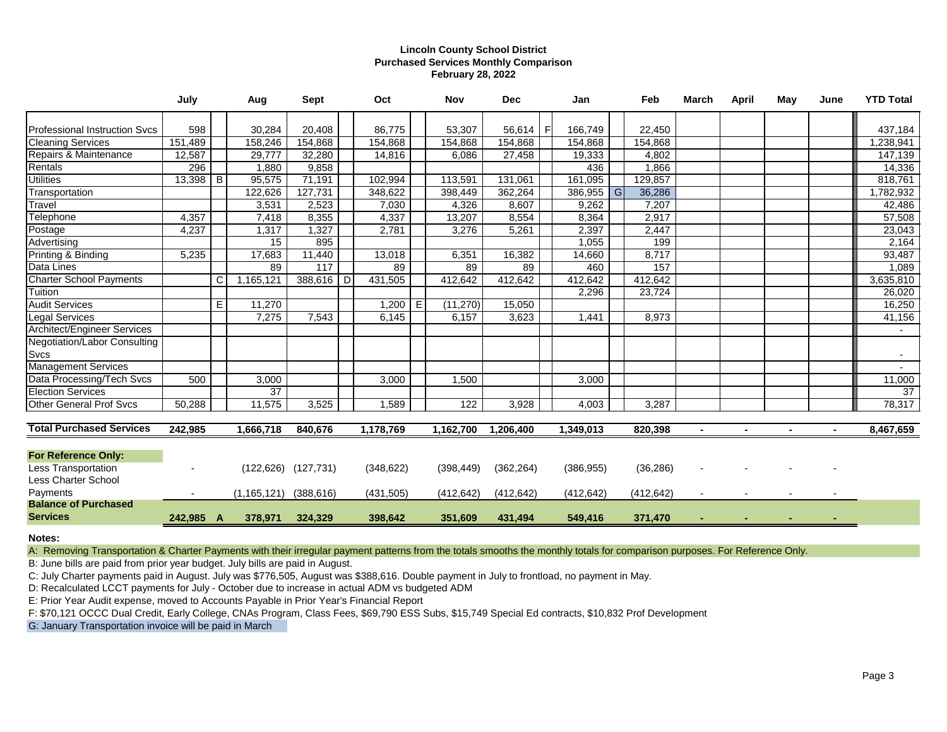### **Lincoln County School District Purchased Services Monthly Comparison February 28, 2022**

|                                 | July      |    | Aug           | <b>Sept</b>               |   | Oct        |   | Nov        | <b>Dec</b> |   | Jan        |   | Feb        | <b>March</b>   | April | May            | June           | <b>YTD Total</b> |
|---------------------------------|-----------|----|---------------|---------------------------|---|------------|---|------------|------------|---|------------|---|------------|----------------|-------|----------------|----------------|------------------|
| Professional Instruction Svcs   | 598       |    | 30,284        | 20,408                    |   | 86.775     |   | 53,307     | 56,614     | E | 166.749    |   | 22,450     |                |       |                |                | 437,184          |
| <b>Cleaning Services</b>        | 151,489   |    | 158,246       | 154,868                   |   | 154,868    |   | 154,868    | 154,868    |   | 154,868    |   | 154,868    |                |       |                |                | 1,238,941        |
| Repairs & Maintenance           | 12,587    |    | 29,777        | 32,280                    |   | 14,816     |   | 6,086      | 27,458     |   | 19,333     |   | 4,802      |                |       |                |                | 147,139          |
| Rentals                         | 296       |    | 1,880         | 9,858                     |   |            |   |            |            |   | 436        |   | 1,866      |                |       |                |                | 14,336           |
| <b>Utilities</b>                | 13,398    | IВ | 95,575        | 71,191                    |   | 102,994    |   | 113,591    | 131,061    |   | 161,095    |   | 129,857    |                |       |                |                | 818,761          |
| Transportation                  |           |    | 122,626       | 127,731                   |   | 348,622    |   | 398,449    | 362,264    |   | 386,955    | G | 36,286     |                |       |                |                | 1,782,932        |
| Travel                          |           |    | 3,531         | 2,523                     |   | 7,030      |   | 4,326      | 8,607      |   | 9,262      |   | 7,207      |                |       |                |                | 42,486           |
| Telephone                       | 4,357     |    | 7,418         | 8,355                     |   | 4,337      |   | 13,207     | 8,554      |   | 8,364      |   | 2,917      |                |       |                |                | 57,508           |
| Postage                         | 4,237     |    | 1,317         | 1,327                     |   | 2,781      |   | 3,276      | 5,261      |   | 2,397      |   | 2,447      |                |       |                |                | 23,043           |
| Advertising                     |           |    | 15            | 895                       |   |            |   |            |            |   | 1,055      |   | 199        |                |       |                |                | 2,164            |
| Printing & Binding              | 5,235     |    | 17,683        | 11,440                    |   | 13,018     |   | 6,351      | 16,382     |   | 14,660     |   | 8,717      |                |       |                |                | 93,487           |
| Data Lines                      |           |    | 89            | 117                       |   | 89         |   | 89         | 89         |   | 460        |   | 157        |                |       |                |                | 1,089            |
| <b>Charter School Payments</b>  |           | C  | 1,165,121     | 388,616                   | D | 431,505    |   | 412,642    | 412,642    |   | 412,642    |   | 412,642    |                |       |                |                | 3,635,810        |
| Tuition                         |           |    |               |                           |   |            |   |            |            |   | 2,296      |   | 23,724     |                |       |                |                | 26,020           |
| <b>Audit Services</b>           |           | E  | 11,270        |                           |   | 1,200      | E | (11, 270)  | 15,050     |   |            |   |            |                |       |                |                | 16,250           |
| <b>Legal Services</b>           |           |    | 7,275         | 7,543                     |   | 6,145      |   | 6,157      | 3,623      |   | 1,441      |   | 8,973      |                |       |                |                | 41,156           |
| Architect/Engineer Services     |           |    |               |                           |   |            |   |            |            |   |            |   |            |                |       |                |                |                  |
| Negotiation/Labor Consulting    |           |    |               |                           |   |            |   |            |            |   |            |   |            |                |       |                |                |                  |
| Svcs                            |           |    |               |                           |   |            |   |            |            |   |            |   |            |                |       |                |                |                  |
| Management Services             |           |    |               |                           |   |            |   |            |            |   |            |   |            |                |       |                |                |                  |
| Data Processing/Tech Svcs       | 500       |    | 3,000         |                           |   | 3,000      |   | 1,500      |            |   | 3,000      |   |            |                |       |                |                | 11,000           |
| <b>Election Services</b>        |           |    | 37            |                           |   |            |   |            |            |   |            |   |            |                |       |                |                | 37               |
| <b>Other General Prof Svcs</b>  | 50,288    |    | 11,575        | 3,525                     |   | 1,589      |   | 122        | 3,928      |   | 4,003      |   | 3,287      |                |       |                |                | 78,317           |
| <b>Total Purchased Services</b> | 242,985   |    | 1,666,718     | 840,676                   |   | 1,178,769  |   | 1,162,700  | 1,206,400  |   | 1,349,013  |   | 820,398    | $\blacksquare$ |       | $\blacksquare$ | $\blacksquare$ | 8,467,659        |
|                                 |           |    |               |                           |   |            |   |            |            |   |            |   |            |                |       |                |                |                  |
| <b>For Reference Only:</b>      |           |    |               |                           |   |            |   |            |            |   |            |   |            |                |       |                |                |                  |
| Less Transportation             |           |    |               | $(122, 626)$ $(127, 731)$ |   | (348, 622) |   | (398, 449) | (362, 264) |   | (386, 955) |   | (36, 286)  |                |       |                |                |                  |
| Less Charter School             |           |    |               |                           |   |            |   |            |            |   |            |   |            |                |       |                |                |                  |
| Payments                        |           |    | (1, 165, 121) | (388, 616)                |   | (431, 505) |   | (412, 642) | (412, 642) |   | (412, 642) |   | (412, 642) |                |       |                |                |                  |
| <b>Balance of Purchased</b>     |           |    |               |                           |   |            |   |            |            |   |            |   |            |                |       |                |                |                  |
| <b>Services</b>                 | 242,985 A |    | 378,971       | 324,329                   |   | 398,642    |   | 351,609    | 431,494    |   | 549,416    |   | 371,470    |                |       |                |                |                  |

**Notes:**

A: Removing Transportation & Charter Payments with their irregular payment patterns from the totals smooths the monthly totals for comparison purposes. For Reference Only.

B: June bills are paid from prior year budget. July bills are paid in August.

C: July Charter payments paid in August. July was \$776,505, August was \$388,616. Double payment in July to frontload, no payment in May.

D: Recalculated LCCT payments for July - October due to increase in actual ADM vs budgeted ADM

E: Prior Year Audit expense, moved to Accounts Payable in Prior Year's Financial Report

F: \$70,121 OCCC Dual Credit, Early College, CNAs Program, Class Fees, \$69,790 ESS Subs, \$15,749 Special Ed contracts, \$10,832 Prof Development

G: January Transportation invoice will be paid in March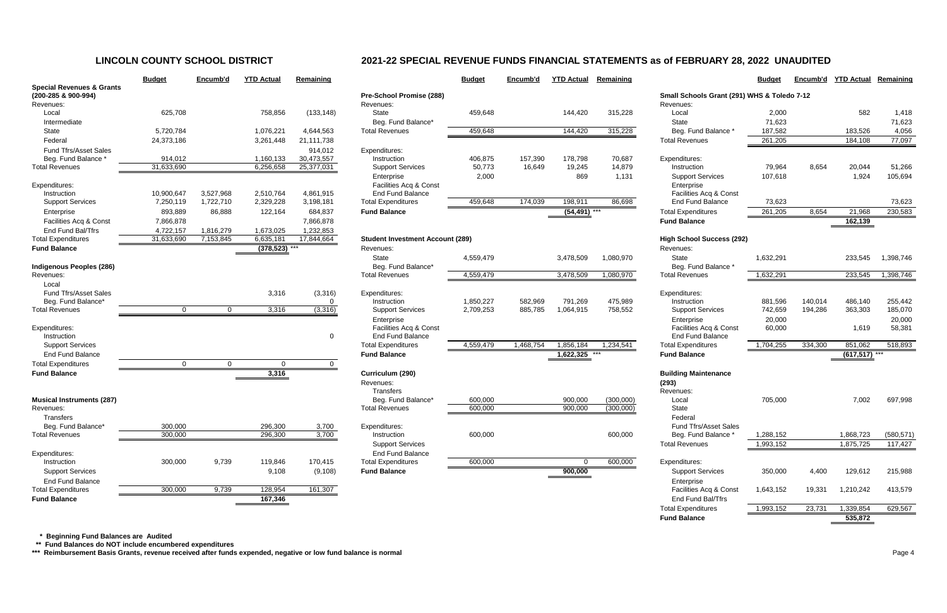|                                      | <b>Budget</b> | Encumb'd    | <b>YTD Actual</b> | Remaining          |                           |
|--------------------------------------|---------------|-------------|-------------------|--------------------|---------------------------|
| <b>Special Revenues &amp; Grants</b> |               |             |                   |                    |                           |
| (200-285 & 900-994)                  |               |             |                   |                    | Pre-School Promise        |
| Revenues:                            |               |             |                   |                    | Revenues:                 |
| Local                                | 625,708       |             | 758,856           | (133, 148)         | State                     |
| Intermediate                         |               |             |                   |                    | Beg. Fund Balance         |
| <b>State</b>                         | 5,720,784     |             | 1,076,221         | 4,644,563          | <b>Total Revenues</b>     |
| Federal                              | 24,373,186    |             | 3,261,448         | 21,111,738         |                           |
| <b>Fund Tfrs/Asset Sales</b>         |               |             |                   | 914,012            | Expenditures:             |
| Beg. Fund Balance *                  | 914,012       |             | 1,160,133         | 30,473,557         | Instruction               |
| <b>Total Revenues</b>                | 31,633,690    |             | 6,256,658         | 25,377,031         | <b>Support Services</b>   |
|                                      |               |             |                   |                    | Enterprise                |
| Expenditures:                        |               |             |                   |                    | Facilities Acq & Co       |
| Instruction                          | 10,900,647    | 3,527,968   | 2,510,764         | 4,861,915          | <b>End Fund Balance</b>   |
| <b>Support Services</b>              | 7,250,119     | 1,722,710   | 2,329,228         | 3,198,181          | <b>Total Expenditures</b> |
| Enterprise                           | 893,889       | 86,888      | 122,164           | 684,837            | <b>Fund Balance</b>       |
| Facilities Acq & Const               | 7,866,878     |             |                   | 7,866,878          |                           |
| End Fund Bal/Tfrs                    | 4,722,157     | 1,816,279   | 1,673,025         | 1,232,853          |                           |
| <b>Total Expenditures</b>            | 31,633,690    | 7,153,845   | 6,635,181         | 17,844,664         | Student Investment /      |
| <b>Fund Balance</b>                  |               |             | (378, 523)        |                    | Revenues:                 |
|                                      |               |             |                   |                    | <b>State</b>              |
| <b>Indigenous Peoples (286)</b>      |               |             |                   |                    | Beg. Fund Balance         |
| Revenues:                            |               |             |                   |                    | <b>Total Revenues</b>     |
| Local                                |               |             |                   |                    |                           |
| <b>Fund Tfrs/Asset Sales</b>         |               |             | 3,316             | (3,316)            | Expenditures:             |
| Beg. Fund Balance*                   |               |             |                   | 0                  | Instruction               |
| <b>Total Revenues</b>                | $\Omega$      | 0           | 3,316             | (3, 316)           | <b>Support Services</b>   |
|                                      |               |             |                   |                    | Enterprise                |
| Expenditures:                        |               |             |                   |                    | Facilities Acq & Co       |
| Instruction                          |               |             |                   | 0                  | <b>End Fund Balance</b>   |
| <b>Support Services</b>              |               |             |                   |                    | <b>Total Expenditures</b> |
| <b>End Fund Balance</b>              |               |             |                   |                    | <b>Fund Balance</b>       |
| <b>Total Expenditures</b>            | $\mathbf 0$   | $\mathbf 0$ | $\Omega$          | 0                  |                           |
| <b>Fund Balance</b>                  |               |             | 3,316             |                    | Curriculum (290)          |
|                                      |               |             |                   |                    | Revenues:                 |
|                                      |               |             |                   |                    | Transfers                 |
| <b>Musical Instruments (287)</b>     |               |             |                   |                    | Beg. Fund Balance         |
| Revenues:                            |               |             |                   |                    | <b>Total Revenues</b>     |
| <b>Transfers</b>                     |               |             |                   |                    |                           |
| Beg. Fund Balance*                   | 300,000       |             | 296,300           | 3,700              | Expenditures:             |
| <b>Total Revenues</b>                | 300,000       |             | 296,300           | $\overline{3,700}$ | Instruction               |
|                                      |               |             |                   |                    | <b>Support Services</b>   |
| Expenditures:                        |               |             |                   |                    | <b>End Fund Balance</b>   |
| Instruction                          | 300,000       | 9,739       | 119,846           | 170,415            | <b>Total Expenditures</b> |
| <b>Support Services</b>              |               |             | 9,108             | (9, 108)           | <b>Fund Balance</b>       |
| End Fund Balance                     |               |             |                   |                    |                           |
| <b>Total Expenditures</b>            | 300,000       | 9,739       | 128,954           | 161,307            |                           |
| Eund Polonoo                         |               |             | 107.21            |                    |                           |

|                                                             | <b>Budget</b>  | Encumb'd  | <b>YTD Actual</b> | Remaining  |                                         | <b>Budget</b> | Encumb'd  | <b>YTD Actual</b> | Remaining |                                             | <b>Budget</b> | Encumb'd | <b>YTD Actual</b> | Remaining  |
|-------------------------------------------------------------|----------------|-----------|-------------------|------------|-----------------------------------------|---------------|-----------|-------------------|-----------|---------------------------------------------|---------------|----------|-------------------|------------|
| <b>Special Revenues &amp; Grants</b><br>(200-285 & 900-994) |                |           |                   |            | Pre-School Promise (288)                |               |           |                   |           | Small Schools Grant (291) WHS & Toledo 7-12 |               |          |                   |            |
| Revenues:                                                   |                |           |                   |            | Revenues:                               |               |           |                   |           | Revenues:                                   |               |          |                   |            |
| Local                                                       | 625,708        |           | 758,856           | (133, 148) | <b>State</b>                            | 459,648       |           | 144,420           | 315,228   | Local                                       | 2,000         |          | 582               | 1,418      |
| Intermediate                                                |                |           |                   |            | Beg. Fund Balance*                      |               |           |                   |           | State                                       | 71,623        |          |                   | 71,623     |
| State                                                       | 5,720,784      |           | 1,076,221         | 4,644,563  | <b>Total Revenues</b>                   | 459,648       |           | 144,420           | 315,228   | Beg. Fund Balance                           | 187,582       |          | 183,526           | 4,056      |
| Federal                                                     | 24,373,186     |           | 3,261,448         | 21,111,738 |                                         |               |           |                   |           | <b>Total Revenues</b>                       | 261,205       |          | 184,108           | 77,097     |
| Fund Tfrs/Asset Sales                                       |                |           |                   | 914,012    | Expenditures:                           |               |           |                   |           |                                             |               |          |                   |            |
| Beg. Fund Balance                                           | 914,012        |           | 1,160,133         | 30,473,557 | Instruction                             | 406,875       | 157,390   | 178,798           | 70,687    | Expenditures:                               |               |          |                   |            |
| <b>Total Revenues</b>                                       | 31,633,690     |           | 6,256,658         | 25,377,031 | <b>Support Services</b>                 | 50,773        | 16,649    | 19,245            | 14,879    | Instruction                                 | 79,964        | 8,654    | 20,044            | 51,266     |
|                                                             |                |           |                   |            | Enterprise                              | 2,000         |           | 869               | 1,131     | <b>Support Services</b>                     | 107,618       |          | 1,924             | 105,694    |
| Expenditures:                                               |                |           |                   |            | Facilities Acq & Const                  |               |           |                   |           | Enterprise                                  |               |          |                   |            |
| Instruction                                                 | 10,900,647     | 3,527,968 | 2,510,764         | 4,861,915  | <b>End Fund Balance</b>                 |               |           |                   |           | Facilities Acq & Const                      |               |          |                   |            |
| <b>Support Services</b>                                     | 7,250,119      | 1,722,710 | 2,329,228         | 3,198,181  | <b>Total Expenditures</b>               | 459,648       | 174,039   | 198,911           | 86,698    | <b>End Fund Balance</b>                     | 73,623        |          |                   | 73,623     |
| Enterprise                                                  | 893,889        | 86,888    | 122,164           | 684,837    | <b>Fund Balance</b>                     |               |           | $(54, 491)$ ***   |           | <b>Total Expenditures</b>                   | 261,205       | 8,654    | 21,968            | 230,583    |
| Facilities Acq & Const                                      | 7,866,878      |           |                   | 7,866,878  |                                         |               |           |                   |           | <b>Fund Balance</b>                         |               |          | 162,139           |            |
| End Fund Bal/Tfrs                                           | 4,722,157      | 1,816,279 | 1,673,025         | 1,232,853  |                                         |               |           |                   |           |                                             |               |          |                   |            |
| <b>Total Expenditures</b>                                   | 31,633,690     | 7,153,845 | 6,635,181         | 17,844,664 | <b>Student Investment Account (289)</b> |               |           |                   |           | <b>High School Success (292)</b>            |               |          |                   |            |
| <b>Fund Balance</b>                                         |                |           | $(378,523)$ ***   |            | Revenues:                               |               |           |                   |           | Revenues:                                   |               |          |                   |            |
|                                                             |                |           |                   |            | <b>State</b>                            | 4,559,479     |           | 3,478,509         | 1,080,970 | State                                       | 1,632,291     |          | 233,545           | 1,398,746  |
| Indigenous Peoples (286)                                    |                |           |                   |            | Beg. Fund Balance*                      |               |           |                   |           | Beg. Fund Balance *                         |               |          |                   |            |
| Revenues:                                                   |                |           |                   |            | <b>Total Revenues</b>                   | 4,559,479     |           | 3,478,509         | 1,080,970 | <b>Total Revenues</b>                       | 1,632,291     |          | 233,545           | 1,398,746  |
| Local                                                       |                |           |                   |            |                                         |               |           |                   |           |                                             |               |          |                   |            |
| <b>Fund Tfrs/Asset Sales</b>                                |                |           | 3,316             | (3,316)    | Expenditures:                           |               |           |                   |           | Expenditures:                               |               |          |                   |            |
| Beg. Fund Balance*                                          |                |           |                   | $\Omega$   | Instruction                             | 1,850,227     | 582,969   | 791,269           | 475,989   | Instruction                                 | 881,596       | 140,014  | 486,140           | 255,442    |
| <b>Total Revenues</b>                                       | $\overline{0}$ | $\Omega$  | 3,316             | (3,316)    | <b>Support Services</b>                 | 2,709,253     | 885,785   | 1,064,915         | 758,552   | <b>Support Services</b>                     | 742,659       | 194,286  | 363,303           | 185,070    |
|                                                             |                |           |                   |            | Enterprise                              |               |           |                   |           | Enterprise                                  | 20,000        |          |                   | 20,000     |
| Expenditures:                                               |                |           |                   |            | Facilities Acq & Const                  |               |           |                   |           | Facilities Acq & Const                      | 60,000        |          | 1,619             | 58,381     |
| Instruction                                                 |                |           |                   | $\Omega$   | <b>End Fund Balance</b>                 |               |           |                   |           | <b>End Fund Balance</b>                     |               |          |                   |            |
| <b>Support Services</b>                                     |                |           |                   |            | <b>Total Expenditures</b>               | 4,559,479     | 1,468,754 | 1,856,184         | 1,234,541 | <b>Total Expenditures</b>                   | 1,704,255     | 334,300  | 851,062           | 518,893    |
| <b>End Fund Balance</b>                                     |                |           |                   |            | <b>Fund Balance</b>                     |               |           | 1,622,325         |           | <b>Fund Balance</b>                         |               |          | $(617,517)$ ***   |            |
| <b>Total Expenditures</b>                                   | $\mathbf{0}$   | $\Omega$  | $\mathbf{0}$      |            |                                         |               |           |                   |           |                                             |               |          |                   |            |
| <b>Fund Balance</b>                                         |                |           | 3,316             |            | Curriculum (290)                        |               |           |                   |           | <b>Building Maintenance</b>                 |               |          |                   |            |
|                                                             |                |           |                   |            | Revenues:                               |               |           |                   |           | (293)                                       |               |          |                   |            |
|                                                             |                |           |                   |            | Transfers                               |               |           |                   |           | Revenues:                                   |               |          |                   |            |
| <b>Musical Instruments (287)</b>                            |                |           |                   |            | Beg. Fund Balance*                      | 600,000       |           | 900,000           | (300,000) | Local                                       | 705,000       |          | 7,002             | 697,998    |
| Revenues:                                                   |                |           |                   |            | <b>Total Revenues</b>                   | 600,000       |           | 900,000           | (300,000) | State                                       |               |          |                   |            |
| Transfers                                                   |                |           |                   |            |                                         |               |           |                   |           | Federal                                     |               |          |                   |            |
| Beg. Fund Balance <sup>®</sup>                              | 300,000        |           | 296,300           | 3,700      | Expenditures:                           |               |           |                   |           | Fund Tfrs/Asset Sales                       |               |          |                   |            |
| <b>Total Revenues</b>                                       | 300,000        |           | 296,300           | 3,700      | Instruction                             | 600,000       |           |                   | 600,000   | Beg. Fund Balance *                         | 1,288,152     |          | 1,868,723         | (580, 571) |
|                                                             |                |           |                   |            | <b>Support Services</b>                 |               |           |                   |           | <b>Total Revenues</b>                       | 1,993,152     |          | 1,875,725         | 117,427    |
| Expenditures:                                               |                |           |                   |            | <b>End Fund Balance</b>                 |               |           |                   |           |                                             |               |          |                   |            |
| Instruction                                                 | 300,000        | 9,739     | 119,846           | 170,415    | <b>Total Expenditures</b>               | 600,000       |           | $\Omega$          | 600,000   | Expenditures:                               |               |          |                   |            |
| <b>Support Services</b>                                     |                |           | 9,108             | (9, 108)   | <b>Fund Balance</b>                     |               |           |                   |           | <b>Support Services</b>                     | 350,000       | 4,400    | 129,612           | 215,988    |
| <b>End Fund Balance</b>                                     |                |           |                   |            |                                         |               |           | 900,000           |           |                                             |               |          |                   |            |
| <b>Total Expenditures</b>                                   |                |           |                   |            |                                         |               |           |                   |           | Enterprise<br>Facilities Acq & Const        |               |          |                   |            |
|                                                             | 300,000        | 9,739     | 128,954           | 161,307    |                                         |               |           |                   |           |                                             | 1,643,152     | 19,331   | 1,210,242         | 413,579    |
| <b>Fund Balance</b>                                         |                |           | 167,346           |            |                                         |               |           |                   |           | End Fund Bal/Tfrs                           |               |          |                   |            |
|                                                             |                |           |                   |            |                                         |               |           |                   |           | <b>Total Expenditures</b>                   | 1,993,152     | 23,731   | 1,339,854         | 629,567    |
|                                                             |                |           |                   |            |                                         |               |           |                   |           | <b>Fund Balance</b>                         |               |          | 535,872           |            |

 **\* Beginning Fund Balances are Audited**

 **\*\* Fund Balances do NOT include encumbered expenditures**

\*\*\* Reimbursement Basis Grants, revenue received after funds expended, negative or low fund balance is normal **Page 1** Page 4

# **LINCOLN COUNTY SCHOOL DISTRICT 2021-22 SPECIAL REVENUE FUNDS FINANCIAL STATEMENTS as of FEBRUARY 28, 2022 UNAUDITED**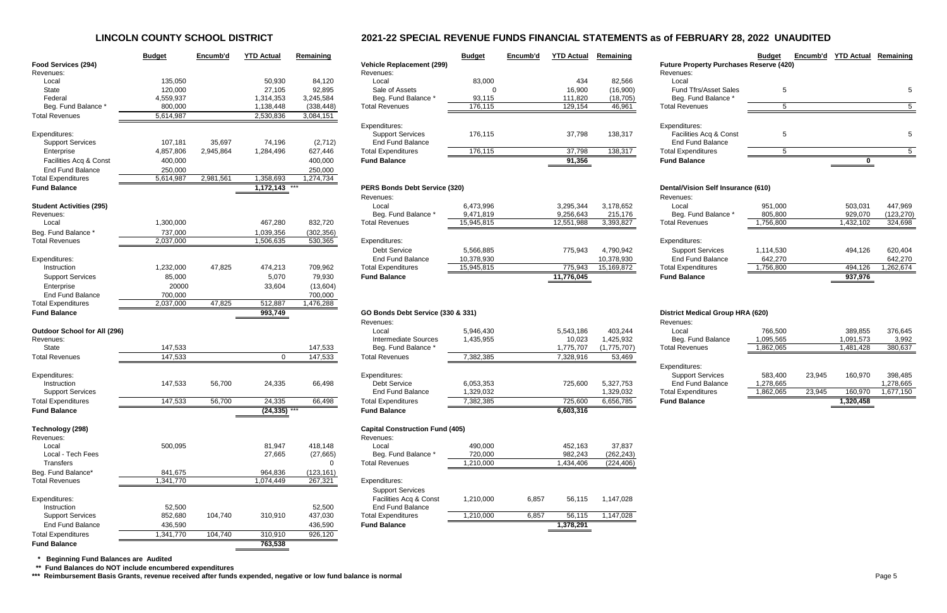# **LINCOLN COUNTY SCHOOL DISTRICT 2021-22 SPECIAL REVENUE FUNDS FINANCIAL STATEMENTS as of FEBRUARY 28, 2022 UNAUDITED**

|                                       | <b>Budget</b>    | Encumb'd  | <b>YTD Actual</b> | Remaining            |                                                    | <b>Budget</b> | Encumb'd | <b>YTD Actual</b> | Remaining   |                                                | <b>Budget</b> | Encumb'd | <b>YTD Actual</b> | Remaining        |
|---------------------------------------|------------------|-----------|-------------------|----------------------|----------------------------------------------------|---------------|----------|-------------------|-------------|------------------------------------------------|---------------|----------|-------------------|------------------|
| <b>Food Services (294)</b>            |                  |           |                   |                      | <b>Vehicle Replacement (299)</b>                   |               |          |                   |             | <b>Future Property Purchases Reserve (420)</b> |               |          |                   |                  |
| Revenues:                             |                  |           |                   |                      | Revenues:                                          |               |          |                   |             | Revenues:                                      |               |          |                   |                  |
| Local                                 | 135,050          |           | 50,930            | 84,120               | Local                                              | 83,000        |          | 434               | 82,566      | Local                                          |               |          |                   |                  |
| State                                 | 120,000          |           | 27,105            | 92,895               | Sale of Assets                                     |               |          | 16,900            | (16,900)    | Fund Tfrs/Asset Sales                          | 5             |          |                   |                  |
| Federal                               | 4,559,937        |           | 1,314,353         | 3,245,584            | Beg. Fund Balance                                  | 93,115        |          | 111,820           | (18, 705)   | Beg. Fund Balance                              |               |          |                   |                  |
| Beg. Fund Balance                     | 800,000          |           | 1,138,448         | (338, 448)           | <b>Total Revenues</b>                              | 176,115       |          | 129,154           | 46,961      | <b>Total Revenues</b>                          | 5             |          |                   |                  |
| <b>Total Revenues</b>                 | 5,614,987        |           | 2,530,836         | 3,084,151            |                                                    |               |          |                   |             |                                                |               |          |                   |                  |
|                                       |                  |           |                   |                      | Expenditures:                                      |               |          |                   |             | Expenditures:                                  |               |          |                   |                  |
| Expenditures:                         |                  |           |                   |                      | <b>Support Services</b>                            | 176,115       |          | 37,798            | 138,317     | Facilities Acq & Const                         | 5             |          |                   |                  |
| <b>Support Services</b>               | 107,181          | 35,697    | 74,196            | (2,712)              | <b>End Fund Balance</b>                            |               |          |                   |             | <b>End Fund Balance</b>                        |               |          |                   |                  |
| Enterprise                            | 4,857,806        | 2,945,864 | 1,284,496         | 627,446              | <b>Total Expenditures</b>                          | 176,115       |          | 37,798            | 138,317     | <b>Total Expenditures</b>                      | 5             |          |                   |                  |
| Facilities Acq & Const                | 400,000          |           |                   | 400,000              | <b>Fund Balance</b>                                |               |          | 91,356            |             | <b>Fund Balance</b>                            |               |          | 0                 |                  |
| <b>End Fund Balance</b>               | 250,000          |           |                   | 250,000              |                                                    |               |          |                   |             |                                                |               |          |                   |                  |
| <b>Total Expenditures</b>             | 5,614,987        | 2,981,561 | 1,358,693         | 1,274,734            |                                                    |               |          |                   |             |                                                |               |          |                   |                  |
| <b>Fund Balance</b>                   |                  |           | 1,172,143         |                      | PERS Bonds Debt Service (320)                      |               |          |                   |             | <b>Dental/Vision Self Insurance (610)</b>      |               |          |                   |                  |
|                                       |                  |           |                   |                      | Revenues:                                          |               |          |                   |             | Revenues:                                      |               |          |                   |                  |
| <b>Student Activities (295)</b>       |                  |           |                   |                      | Local                                              | 6,473,996     |          | 3,295,344         | 3,178,652   | Local                                          | 951,000       |          | 503,031           | 447,969          |
| Revenues:                             |                  |           |                   |                      | Beg. Fund Balance                                  | 9,471,819     |          | 9,256,643         | 215,176     | Beg. Fund Balance '                            | 805,800       |          | 929,070           | (123, 270)       |
| Local                                 | 1,300,000        |           | 467,280           | 832,720              | <b>Total Revenues</b>                              | 15,945,815    |          | 12,551,988        | 3,393,827   | <b>Total Revenues</b>                          | 1,756,800     |          | 1,432,102         | 324,698          |
| Beg. Fund Balance <sup>*</sup>        | 737,000          |           | 1,039,356         | (302, 356)           |                                                    |               |          |                   |             |                                                |               |          |                   |                  |
| <b>Total Revenues</b>                 | 2,037,000        |           | 1,506,635         | 530,365              | Expenditures:                                      |               |          |                   |             | Expenditures:                                  |               |          |                   |                  |
|                                       |                  |           |                   |                      | Debt Service                                       | 5,566,885     |          | 775,943           | 4,790,942   | <b>Support Services</b>                        | 1,114,530     |          | 494,126           | 620,404          |
| Expenditures:                         |                  |           |                   |                      | <b>End Fund Balance</b>                            | 10,378,930    |          |                   | 10,378,930  | <b>End Fund Balance</b>                        | 642,270       |          |                   | 642,270          |
| Instruction                           | 1,232,000        | 47,825    | 474,213           | 709,962              | <b>Total Expenditures</b>                          | 15,945,815    |          | 775,943           | 15,169,872  | <b>Total Expenditures</b>                      | 1,756,800     |          | 494,126           | 1,262,674        |
| <b>Support Services</b>               | 85,000           |           | 5,070             | 79,930               | <b>Fund Balance</b>                                |               |          |                   |             | <b>Fund Balance</b>                            |               |          | 937,976           |                  |
|                                       |                  |           |                   |                      |                                                    |               |          | 11,776,045        |             |                                                |               |          |                   |                  |
| Enterprise<br><b>End Fund Balance</b> | 20000<br>700,000 |           | 33,604            | (13,604)             |                                                    |               |          |                   |             |                                                |               |          |                   |                  |
|                                       | 2,037,000        | 47,825    | 512,887           | 700,000<br>1,476,288 |                                                    |               |          |                   |             |                                                |               |          |                   |                  |
| <b>Total Expenditures</b>             |                  |           |                   |                      |                                                    |               |          |                   |             |                                                |               |          |                   |                  |
| <b>Fund Balance</b>                   |                  |           | 993,749           |                      | GO Bonds Debt Service (330 & 331)                  |               |          |                   |             | <b>District Medical Group HRA (620)</b>        |               |          |                   |                  |
|                                       |                  |           |                   |                      | Revenues:                                          |               |          |                   |             | Revenues:                                      |               |          |                   |                  |
| <b>Outdoor School for All (296)</b>   |                  |           |                   |                      | Local                                              | 5,946,430     |          | 5,543,186         | 403,244     | Local                                          | 766,500       |          | 389,855           | 376,645          |
| Revenues:                             | 147,533          |           |                   |                      | <b>Intermediate Sources</b><br>Beg. Fund Balance * | 1,435,955     |          | 10,023            | 1,425,932   | Beg. Fund Balance<br><b>Total Revenues</b>     | 1,095,565     |          | 1,091,573         | 3,992<br>380,637 |
| State                                 |                  |           |                   | 147,533              |                                                    |               |          | 1,775,707         | (1,775,707) |                                                | 1,862,065     |          | 1,481,428         |                  |
| <b>Total Revenues</b>                 | 147,533          |           | $\mathbf{0}$      | 147,533              | <b>Total Revenues</b>                              | 7,382,385     |          | 7,328,916         | 53,469      |                                                |               |          |                   |                  |
|                                       |                  |           |                   |                      | Expenditures:                                      |               |          |                   |             | Expenditures:<br><b>Support Services</b>       | 583,400       | 23,945   | 160,970           | 398,485          |
| Expenditures:<br>Instruction          | 147,533          | 56,700    | 24,335            | 66,498               | <b>Debt Service</b>                                | 6,053,353     |          | 725,600           | 5,327,753   | <b>End Fund Balance</b>                        | 1,278,665     |          |                   | 1,278,665        |
| <b>Support Services</b>               |                  |           |                   |                      | <b>End Fund Balance</b>                            | 1,329,032     |          |                   | 1,329,032   | <b>Total Expenditures</b>                      | 1,862,065     | 23,945   | 160,970           | 1,677,150        |
| <b>Total Expenditures</b>             | 147,533          | 56,700    | 24,335            | 66,498               | <b>Total Expenditures</b>                          | 7,382,385     |          | 725,600           | 6,656,785   | <b>Fund Balance</b>                            |               |          | 1,320,458         |                  |
| <b>Fund Balance</b>                   |                  |           | $(24, 335)$ ***   |                      | <b>Fund Balance</b>                                |               |          | 6,603,316         |             |                                                |               |          |                   |                  |
|                                       |                  |           |                   |                      |                                                    |               |          |                   |             |                                                |               |          |                   |                  |
| Technology (298)                      |                  |           |                   |                      | <b>Capital Construction Fund (405)</b>             |               |          |                   |             |                                                |               |          |                   |                  |
| Revenues:                             |                  |           |                   |                      | Revenues:                                          |               |          |                   |             |                                                |               |          |                   |                  |
| Local                                 | 500,095          |           | 81,947            | 418,148              | Local                                              | 490,000       |          | 452,163           | 37,837      |                                                |               |          |                   |                  |
| Local - Tech Fees                     |                  |           | 27,665            | (27, 665)            | Beg. Fund Balance *                                | 720,000       |          | 982,243           | (262, 243)  |                                                |               |          |                   |                  |
| Transfers                             |                  |           |                   | $\mathbf 0$          | <b>Total Revenues</b>                              | 1,210,000     |          | 1,434,406         | (224, 406)  |                                                |               |          |                   |                  |
| Beg. Fund Balance*                    | 841,675          |           | 964,836           | (123, 161)           |                                                    |               |          |                   |             |                                                |               |          |                   |                  |
| <b>Total Revenues</b>                 | 1,341,770        |           | 1,074,449         | 267,321              | Expenditures:                                      |               |          |                   |             |                                                |               |          |                   |                  |
|                                       |                  |           |                   |                      | <b>Support Services</b>                            |               |          |                   |             |                                                |               |          |                   |                  |
| Expenditures:                         |                  |           |                   |                      | Facilities Acq & Const                             | 1,210,000     | 6,857    | 56,115            | 1,147,028   |                                                |               |          |                   |                  |
| Instruction                           | 52,500           |           |                   | 52,500               | <b>End Fund Balance</b>                            |               |          |                   |             |                                                |               |          |                   |                  |
| <b>Support Services</b>               | 852,680          | 104,740   | 310,910           | 437,030              | <b>Total Expenditures</b>                          | 1,210,000     | 6,857    | 56,115            | 1,147,028   |                                                |               |          |                   |                  |
| <b>End Fund Balance</b>               | 436,590          |           |                   | 436,590              | <b>Fund Balance</b>                                |               |          | 1,378,291         |             |                                                |               |          |                   |                  |
|                                       |                  |           |                   |                      |                                                    |               |          |                   |             |                                                |               |          |                   |                  |

| rs/Asset Sales<br>nd Balance * | 5 | 5 |
|--------------------------------|---|---|
| nues                           | 5 | 5 |
|                                |   |   |
| S.                             |   |   |
| s Acq & Const<br>nd Balance    | 5 | 5 |
| ditures                        | 5 | 5 |
| ıce                            |   |   |

| ıce            |           | 937,976   |           |
|----------------|-----------|-----------|-----------|
| ditures        | 1,756,800 | 494,126   | 1,262,674 |
| nd Balance     | 642,270   |           | 642,270   |
| s:<br>Services | 1,114,530 | 494.126   | 620,404   |
|                |           |           |           |
| iues           | 1,756,800 | 1,432,102 | 324,698   |
| nd Balance *   | 805,800   | 929,070   | (123,270) |
|                | 951,000   | 503,031   | 447,969   |
|                |           |           |           |

| ıce            |           |        | 1,320,458 |           |
|----------------|-----------|--------|-----------|-----------|
| ditures        | 1,862,065 | 23.945 | 160.970   | 1,677,150 |
| nd Balance     | 1,278,665 |        |           | 1,278,665 |
| s:<br>Services | 583,400   | 23.945 | 160.970   | 398,485   |
| iues           | 1,862,065 |        | 1,481,428 | 380,637   |
|                |           |        | 1,091,573 |           |
| nd Balance     | 1,095,565 |        |           | 3,992     |
|                | 766,500   |        | 389,855   | 376,645   |
|                |           |        |           |           |

|                                     | <b>Budget</b> | Encumb'd  | <b>YTD Actual</b> | Remaining  |                                        | <b>Budget</b> | Encumb'd | <b>YTD Actual</b> | Remaining   |
|-------------------------------------|---------------|-----------|-------------------|------------|----------------------------------------|---------------|----------|-------------------|-------------|
| Food Services (294)                 |               |           |                   |            | <b>Vehicle Replacement (299)</b>       |               |          |                   |             |
| Revenues:                           |               |           |                   |            | Revenues:                              |               |          |                   |             |
| Local                               | 135,050       |           | 50,930            | 84,120     | Local                                  | 83,000        |          | 434               | 82,566      |
| <b>State</b>                        | 120,000       |           | 27,105            | 92,895     | Sale of Assets                         | 0             |          | 16,900            | (16,900)    |
| Federal                             | 4,559,937     |           | 1,314,353         | 3,245,584  | Beg. Fund Balance *                    | 93,115        |          | 111,820           | (18, 705)   |
| Beg. Fund Balance *                 | 800,000       |           | 1,138,448         | (338, 448) | <b>Total Revenues</b>                  | 176,115       |          | 129,154           | 46,961      |
| <b>Total Revenues</b>               | 5,614,987     |           | 2,530,836         | 3,084,151  |                                        |               |          |                   |             |
|                                     |               |           |                   |            | Expenditures:                          |               |          |                   |             |
| Expenditures:                       |               |           |                   |            | <b>Support Services</b>                | 176,115       |          | 37,798            | 138,317     |
| <b>Support Services</b>             | 107,181       | 35,697    | 74,196            | (2,712)    | <b>End Fund Balance</b>                |               |          |                   |             |
| Enterprise                          | 4,857,806     | 2,945,864 | 1,284,496         | 627,446    | <b>Total Expenditures</b>              | 176,115       |          | 37,798            | 138,317     |
| Facilities Acq & Const              | 400,000       |           |                   | 400,000    | <b>Fund Balance</b>                    |               |          | 91,356            |             |
| <b>End Fund Balance</b>             | 250,000       |           |                   | 250,000    |                                        |               |          |                   |             |
|                                     |               | 2,981,561 |                   |            |                                        |               |          |                   |             |
| <b>Total Expenditures</b>           | 5,614,987     |           | 1,358,693         | 1,274,734  |                                        |               |          |                   |             |
| <b>Fund Balance</b>                 |               |           | 1,172,143         |            | PERS Bonds Debt Service (320)          |               |          |                   |             |
|                                     |               |           |                   |            | Revenues:                              |               |          |                   |             |
| <b>Student Activities (295)</b>     |               |           |                   |            | Local                                  | 6,473,996     |          | 3,295,344         | 3,178,652   |
| Revenues:                           |               |           |                   |            | Beg. Fund Balance *                    | 9,471,819     |          | 9,256,643         | 215,176     |
| Local                               | 1,300,000     |           | 467,280           | 832,720    | <b>Total Revenues</b>                  | 15,945,815    |          | 12,551,988        | 3,393,827   |
| Beg. Fund Balance *                 | 737,000       |           | 1,039,356         | (302, 356) |                                        |               |          |                   |             |
| <b>Total Revenues</b>               | 2,037,000     |           | 1,506,635         | 530,365    | Expenditures:                          |               |          |                   |             |
|                                     |               |           |                   |            | <b>Debt Service</b>                    | 5,566,885     |          | 775,943           | 4,790,942   |
| Expenditures:                       |               |           |                   |            | <b>End Fund Balance</b>                | 10,378,930    |          |                   | 10,378,930  |
| Instruction                         | 1,232,000     | 47,825    | 474,213           | 709,962    | <b>Total Expenditures</b>              | 15,945,815    |          | 775,943           | 15,169,872  |
| <b>Support Services</b>             | 85,000        |           | 5,070             | 79,930     | <b>Fund Balance</b>                    |               |          | 11,776,045        |             |
| Enterprise                          | 20000         |           | 33,604            | (13,604)   |                                        |               |          |                   |             |
| <b>End Fund Balance</b>             | 700,000       |           |                   | 700,000    |                                        |               |          |                   |             |
| <b>Total Expenditures</b>           | 2,037,000     | 47,825    | 512,887           | 1,476,288  |                                        |               |          |                   |             |
|                                     |               |           |                   |            |                                        |               |          |                   |             |
| <b>Fund Balance</b>                 |               |           | 993,749           |            | GO Bonds Debt Service (330 & 331)      |               |          |                   |             |
|                                     |               |           |                   |            | Revenues:                              |               |          |                   |             |
| <b>Outdoor School for All (296)</b> |               |           |                   |            | Local                                  | 5,946,430     |          | 5,543,186         | 403,244     |
| Revenues:                           |               |           |                   |            | <b>Intermediate Sources</b>            | 1,435,955     |          | 10,023            | 1,425,932   |
| <b>State</b>                        | 147,533       |           |                   | 147,533    | Beg. Fund Balance *                    |               |          | 1,775,707         | (1,775,707) |
| <b>Total Revenues</b>               | 147,533       |           | $\mathbf 0$       | 147,533    | <b>Total Revenues</b>                  | 7,382,385     |          | 7,328,916         | 53,469      |
| Expenditures:                       |               |           |                   |            | Expenditures:                          |               |          |                   |             |
| Instruction                         | 147,533       | 56,700    | 24,335            | 66,498     | <b>Debt Service</b>                    | 6,053,353     |          | 725,600           | 5,327,753   |
| <b>Support Services</b>             |               |           |                   |            | <b>End Fund Balance</b>                | 1,329,032     |          |                   | 1,329,032   |
| <b>Total Expenditures</b>           |               | 56,700    | 24,335            | 66,498     | <b>Total Expenditures</b>              | 7,382,385     |          | 725,600           | 6,656,785   |
|                                     | 147,533       |           |                   |            |                                        |               |          |                   |             |
| <b>Fund Balance</b>                 |               |           | (24, 335)         |            | <b>Fund Balance</b>                    |               |          | 6,603,316         |             |
| Technology (298)                    |               |           |                   |            | <b>Capital Construction Fund (405)</b> |               |          |                   |             |
| Revenues:                           |               |           |                   |            | Revenues:                              |               |          |                   |             |
| Local                               | 500,095       |           | 81,947            | 418,148    | Local                                  | 490,000       |          | 452,163           | 37,837      |
| Local - Tech Fees                   |               |           | 27,665            | (27, 665)  | Beg. Fund Balance *                    | 720,000       |          | 982,243           | (262, 243)  |
| <b>Transfers</b>                    |               |           |                   | 0          | <b>Total Revenues</b>                  | 1,210,000     |          | 1,434,406         | (224, 406)  |
| Beg. Fund Balance*                  | 841,675       |           | 964,836           | (123, 161) |                                        |               |          |                   |             |
| <b>Total Revenues</b>               | 1,341,770     |           | 1,074,449         | 267,321    | Expenditures:                          |               |          |                   |             |
|                                     |               |           |                   |            |                                        |               |          |                   |             |
|                                     |               |           |                   |            | <b>Support Services</b>                |               |          |                   |             |
| Expenditures:                       |               |           |                   |            | Facilities Acq & Const                 | 1,210,000     | 6,857    | 56,115            | 1,147,028   |
| Instruction                         | 52,500        |           |                   | 52,500     | <b>End Fund Balance</b>                |               |          |                   |             |
| <b>Support Services</b>             | 852,680       | 104,740   | 310,910           | 437,030    | <b>Total Expenditures</b>              | 1,210,000     | 6,857    | 56,115            | 1,147,028   |
| <b>End Fund Balance</b>             | 436,590       |           |                   | 436,590    | <b>Fund Balance</b>                    |               |          | 1,378,291         |             |
| <b>Total Expenditures</b>           | 1,341,770     | 104,740   | 310,910           | 926,120    |                                        |               |          |                   |             |
| <b>Fund Balance</b>                 |               |           | 763,538           |            |                                        |               |          |                   |             |

 **\* Beginning Fund Balances are Audited**

 **\*\* Fund Balances do NOT include encumbered expenditures**

\*\*\* Reimbursement Basis Grants, revenue received after funds expended, negative or low fund balance is normal **Page 1000 and the expended of the system** Page 5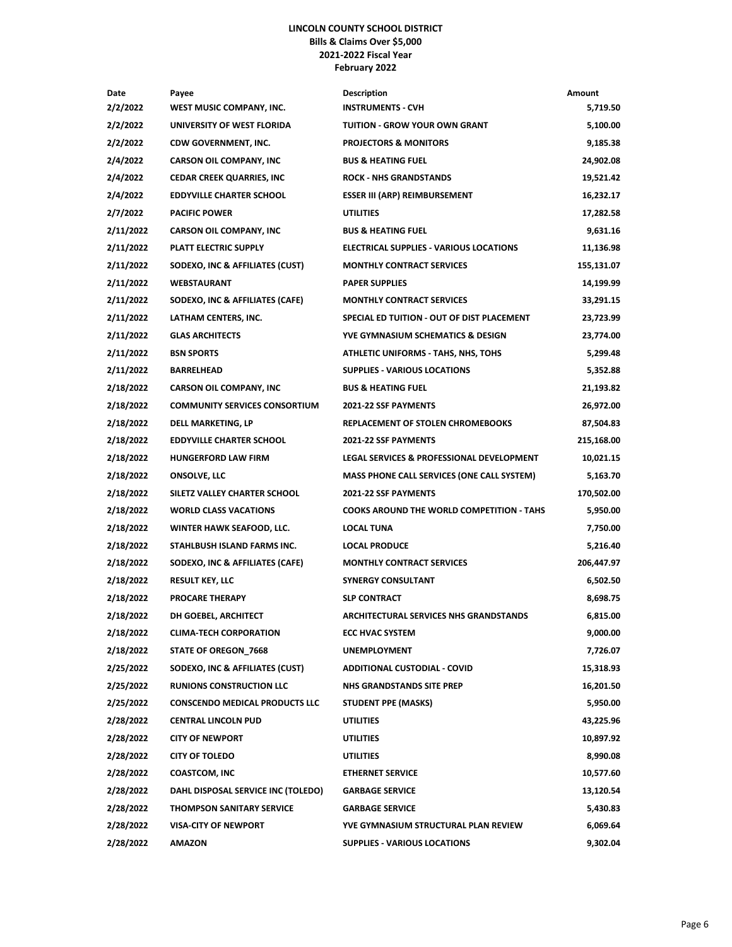### **LINCOLN COUNTY SCHOOL DISTRICT Bills & Claims Over \$5,000 2021-2022 Fiscal Year February 2022**

| Date      | Payee                                 | <b>Description</b>                                | Amount     |
|-----------|---------------------------------------|---------------------------------------------------|------------|
| 2/2/2022  | WEST MUSIC COMPANY, INC.              | <b>INSTRUMENTS - CVH</b>                          | 5,719.50   |
| 2/2/2022  | UNIVERSITY OF WEST FLORIDA            | <b>TUITION - GROW YOUR OWN GRANT</b>              | 5,100.00   |
| 2/2/2022  | CDW GOVERNMENT, INC.                  | <b>PROJECTORS &amp; MONITORS</b>                  | 9,185.38   |
| 2/4/2022  | <b>CARSON OIL COMPANY, INC</b>        | <b>BUS &amp; HEATING FUEL</b>                     | 24,902.08  |
| 2/4/2022  | <b>CEDAR CREEK QUARRIES, INC</b>      | <b>ROCK - NHS GRANDSTANDS</b>                     | 19,521.42  |
| 2/4/2022  | <b>EDDYVILLE CHARTER SCHOOL</b>       | <b>ESSER III (ARP) REIMBURSEMENT</b>              | 16,232.17  |
| 2/7/2022  | <b>PACIFIC POWER</b>                  | <b>UTILITIES</b>                                  | 17,282.58  |
| 2/11/2022 | <b>CARSON OIL COMPANY, INC</b>        | <b>BUS &amp; HEATING FUEL</b>                     | 9,631.16   |
| 2/11/2022 | PLATT ELECTRIC SUPPLY                 | ELECTRICAL SUPPLIES - VARIOUS LOCATIONS           | 11,136.98  |
| 2/11/2022 | SODEXO, INC & AFFILIATES (CUST)       | <b>MONTHLY CONTRACT SERVICES</b>                  | 155,131.07 |
| 2/11/2022 | <b>WEBSTAURANT</b>                    | <b>PAPER SUPPLIES</b>                             | 14,199.99  |
| 2/11/2022 | SODEXO, INC & AFFILIATES (CAFE)       | <b>MONTHLY CONTRACT SERVICES</b>                  | 33,291.15  |
| 2/11/2022 | LATHAM CENTERS, INC.                  | SPECIAL ED TUITION - OUT OF DIST PLACEMENT        | 23,723.99  |
| 2/11/2022 | <b>GLAS ARCHITECTS</b>                | YVE GYMNASIUM SCHEMATICS & DESIGN                 | 23,774.00  |
| 2/11/2022 | <b>BSN SPORTS</b>                     | ATHLETIC UNIFORMS - TAHS, NHS, TOHS               | 5,299.48   |
| 2/11/2022 | <b>BARRELHEAD</b>                     | <b>SUPPLIES - VARIOUS LOCATIONS</b>               | 5,352.88   |
| 2/18/2022 | <b>CARSON OIL COMPANY, INC</b>        | <b>BUS &amp; HEATING FUEL</b>                     | 21,193.82  |
| 2/18/2022 | <b>COMMUNITY SERVICES CONSORTIUM</b>  | 2021-22 SSF PAYMENTS                              | 26,972.00  |
| 2/18/2022 | DELL MARKETING, LP                    | REPLACEMENT OF STOLEN CHROMEBOOKS                 | 87,504.83  |
| 2/18/2022 | <b>EDDYVILLE CHARTER SCHOOL</b>       | <b>2021-22 SSF PAYMENTS</b>                       | 215,168.00 |
| 2/18/2022 | <b>HUNGERFORD LAW FIRM</b>            | LEGAL SERVICES & PROFESSIONAL DEVELOPMENT         | 10,021.15  |
| 2/18/2022 | <b>ONSOLVE, LLC</b>                   | <b>MASS PHONE CALL SERVICES (ONE CALL SYSTEM)</b> | 5,163.70   |
| 2/18/2022 | SILETZ VALLEY CHARTER SCHOOL          | 2021-22 SSF PAYMENTS                              | 170,502.00 |
| 2/18/2022 | <b>WORLD CLASS VACATIONS</b>          | <b>COOKS AROUND THE WORLD COMPETITION - TAHS</b>  | 5,950.00   |
| 2/18/2022 | WINTER HAWK SEAFOOD, LLC.             | LOCAL TUNA                                        | 7,750.00   |
| 2/18/2022 | STAHLBUSH ISLAND FARMS INC.           | <b>LOCAL PRODUCE</b>                              | 5,216.40   |
| 2/18/2022 | SODEXO, INC & AFFILIATES (CAFE)       | <b>MONTHLY CONTRACT SERVICES</b>                  | 206,447.97 |
| 2/18/2022 | <b>RESULT KEY, LLC</b>                | <b>SYNERGY CONSULTANT</b>                         | 6,502.50   |
| 2/18/2022 | <b>PROCARE THERAPY</b>                | <b>SLP CONTRACT</b>                               | 8,698.75   |
| 2/18/2022 | DH GOEBEL, ARCHITECT                  | <b>ARCHITECTURAL SERVICES NHS GRANDSTANDS</b>     | 6,815.00   |
| 2/18/2022 | <b>CLIMA-TECH CORPORATION</b>         | <b>ECC HVAC SYSTEM</b>                            | 9,000.00   |
| 2/18/2022 | STATE OF OREGON_7668                  | <b>UNEMPLOYMENT</b>                               | 7,726.07   |
| 2/25/2022 | SODEXO, INC & AFFILIATES (CUST)       | <b>ADDITIONAL CUSTODIAL - COVID</b>               | 15,318.93  |
| 2/25/2022 | <b>RUNIONS CONSTRUCTION LLC</b>       | NHS GRANDSTANDS SITE PREP                         | 16,201.50  |
| 2/25/2022 | <b>CONSCENDO MEDICAL PRODUCTS LLC</b> | <b>STUDENT PPE (MASKS)</b>                        | 5,950.00   |
| 2/28/2022 | <b>CENTRAL LINCOLN PUD</b>            | <b>UTILITIES</b>                                  | 43,225.96  |
| 2/28/2022 | <b>CITY OF NEWPORT</b>                | <b>UTILITIES</b>                                  | 10,897.92  |
| 2/28/2022 | <b>CITY OF TOLEDO</b>                 | <b>UTILITIES</b>                                  | 8,990.08   |
| 2/28/2022 | <b>COASTCOM, INC</b>                  | <b>ETHERNET SERVICE</b>                           | 10,577.60  |
| 2/28/2022 | DAHL DISPOSAL SERVICE INC (TOLEDO)    | <b>GARBAGE SERVICE</b>                            | 13,120.54  |
| 2/28/2022 | <b>THOMPSON SANITARY SERVICE</b>      | <b>GARBAGE SERVICE</b>                            | 5,430.83   |
| 2/28/2022 | <b>VISA-CITY OF NEWPORT</b>           | YVE GYMNASIUM STRUCTURAL PLAN REVIEW              | 6,069.64   |
| 2/28/2022 | <b>AMAZON</b>                         | <b>SUPPLIES - VARIOUS LOCATIONS</b>               | 9,302.04   |